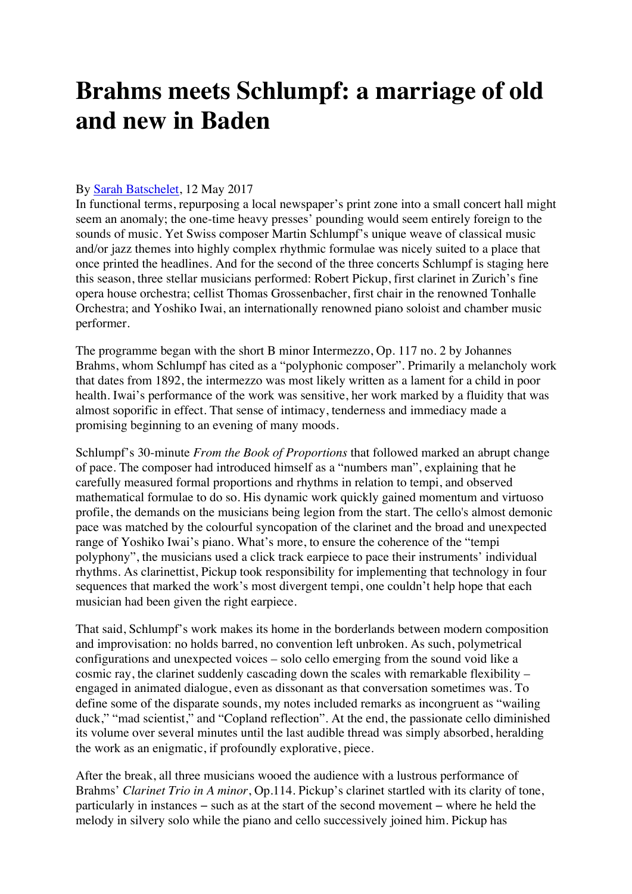## **Brahms meets Schlumpf: a marriage of old and new in Baden**

## By Sarah Batschelet, 12 May 2017

In functional terms, repurposing a local newspaper's print zone into a small concert hall might seem an anomaly; the one-time heavy presses' pounding would seem entirely foreign to the sounds of music. Yet Swiss composer Martin Schlumpf's unique weave of classical music and/or jazz themes into highly complex rhythmic formulae was nicely suited to a place that once printed the headlines. And for the second of the three concerts Schlumpf is staging here this season, three stellar musicians performed: Robert Pickup, first clarinet in Zurich's fine opera house orchestra; cellist Thomas Grossenbacher, first chair in the renowned Tonhalle Orchestra; and Yoshiko Iwai, an internationally renowned piano soloist and chamber music performer.

The programme began with the short B minor Intermezzo, Op. 117 no. 2 by Johannes Brahms, whom Schlumpf has cited as a "polyphonic composer". Primarily a melancholy work that dates from 1892, the intermezzo was most likely written as a lament for a child in poor health. Iwai's performance of the work was sensitive, her work marked by a fluidity that was almost soporific in effect. That sense of intimacy, tenderness and immediacy made a promising beginning to an evening of many moods.

Schlumpf's 30-minute *From the Book of Proportions* that followed marked an abrupt change of pace. The composer had introduced himself as a "numbers man", explaining that he carefully measured formal proportions and rhythms in relation to tempi, and observed mathematical formulae to do so. His dynamic work quickly gained momentum and virtuoso profile, the demands on the musicians being legion from the start. The cello's almost demonic pace was matched by the colourful syncopation of the clarinet and the broad and unexpected range of Yoshiko Iwai's piano. What's more, to ensure the coherence of the "tempi polyphony", the musicians used a click track earpiece to pace their instruments' individual rhythms. As clarinettist, Pickup took responsibility for implementing that technology in four sequences that marked the work's most divergent tempi, one couldn't help hope that each musician had been given the right earpiece.

That said, Schlumpf's work makes its home in the borderlands between modern composition and improvisation: no holds barred, no convention left unbroken. As such, polymetrical configurations and unexpected voices – solo cello emerging from the sound void like a cosmic ray, the clarinet suddenly cascading down the scales with remarkable flexibility – engaged in animated dialogue, even as dissonant as that conversation sometimes was. To define some of the disparate sounds, my notes included remarks as incongruent as "wailing duck," "mad scientist," and "Copland reflection". At the end, the passionate cello diminished its volume over several minutes until the last audible thread was simply absorbed, heralding the work as an enigmatic, if profoundly explorative, piece.

After the break, all three musicians wooed the audience with a lustrous performance of Brahms' *Clarinet Trio in A minor*, Op.114. Pickup's clarinet startled with its clarity of tone, particularly in instances − such as at the start of the second movement − where he held the melody in silvery solo while the piano and cello successively joined him. Pickup has